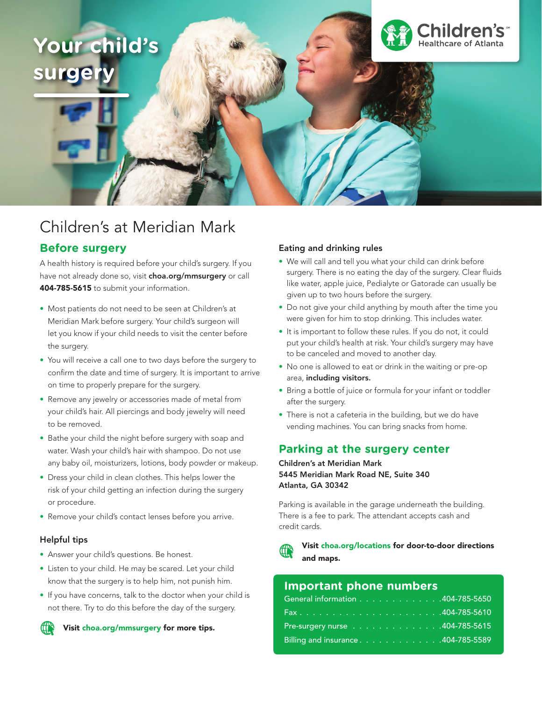# **Your child's**  surger



## Children's at Meridian Mark

## **Before surgery**

A health history is required before your child's surgery. If you have not already done so, visit choa.org/mmsurgery or call 404-785-5615 to submit your information.

- Most patients do not need to be seen at Children's at Meridian Mark before surgery. Your child's surgeon will let you know if your child needs to visit the center before the surgery.
- You will receive a call one to two days before the surgery to confirm the date and time of surgery. It is important to arrive on time to properly prepare for the surgery.
- Remove any jewelry or accessories made of metal from your child's hair. All piercings and body jewelry will need to be removed.
- Bathe your child the night before surgery with soap and water. Wash your child's hair with shampoo. Do not use any baby oil, moisturizers, lotions, body powder or makeup.
- Dress your child in clean clothes. This helps lower the risk of your child getting an infection during the surgery or procedure.
- Remove your child's contact lenses before you arrive.

#### Helpful tips

- Answer your child's questions. Be honest.
- Listen to your child. He may be scared. Let your child know that the surgery is to help him, not punish him.
- If you have concerns, talk to the doctor when your child is not there. Try to do this before the day of the surgery.

Visit choa.org/mmsurgery for more tips.

#### Eating and drinking rules

- We will call and tell you what your child can drink before surgery. There is no eating the day of the surgery. Clear fluids like water, apple juice, Pedialyte or Gatorade can usually be given up to two hours before the surgery.
- Do not give your child anything by mouth after the time you were given for him to stop drinking. This includes water.
- It is important to follow these rules. If you do not, it could put your child's health at risk. Your child's surgery may have to be canceled and moved to another day.
- No one is allowed to eat or drink in the waiting or pre-op area, including visitors.
- Bring a bottle of juice or formula for your infant or toddler after the surgery.
- There is not a cafeteria in the building, but we do have vending machines. You can bring snacks from home.

## **Parking at the surgery center**

Children's at Meridian Mark 5445 Meridian Mark Road NE, Suite 340 Atlanta, GA 30342

Parking is available in the garage underneath the building. There is a fee to park. The attendant accepts cash and credit cards.

Visit choa.org/locations for door-to-door directions and maps.

## **Important phone numbers**

| General information 404-785-5650    |  |  |  |  |  |  |
|-------------------------------------|--|--|--|--|--|--|
|                                     |  |  |  |  |  |  |
| Pre-surgery nurse 404-785-5615      |  |  |  |  |  |  |
| Billing and insurance. 404-785-5589 |  |  |  |  |  |  |